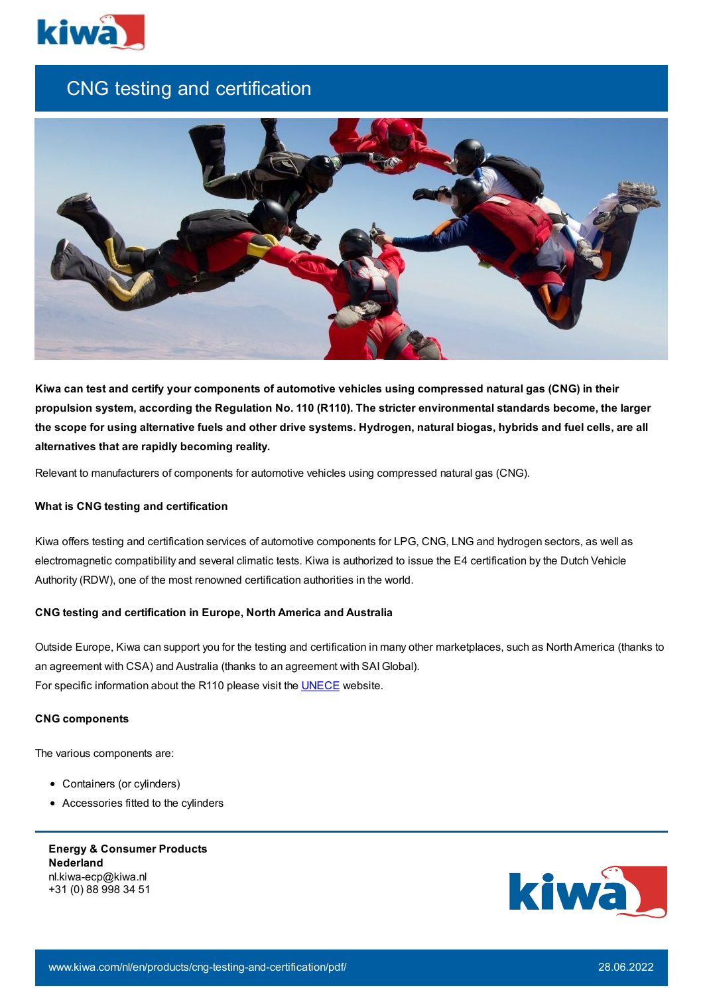

# CNG testing and certification



Kiwa can test and certify your components of automotive vehicles using compressed natural gas (CNG) in their **propulsion system, according the Regulation No. 110 (R110). The stricter environmental standards become, the larger** the scope for using alternative fuels and other drive systems. Hydrogen, natural biogas, hybrids and fuel cells, are all **alternatives that are rapidly becoming reality.**

Relevant to manufacturers of components for automotive vehicles using compressed natural gas (CNG).

### **What is CNG testing and certification**

Kiwa offers testing and certification services of automotive components for LPG, CNG, LNG and hydrogen sectors, as well as electromagnetic compatibility and several climatic tests. Kiwa is authorized to issue the E4 certification by the Dutch Vehicle Authority (RDW), one of the most renowned certification authorities in the world.

### **CNG testing and certification in Europe, North America and Australia**

Outside Europe, Kiwa can support you for the testing and certification in many other marketplaces, such as NorthAmerica (thanks to an agreement with CSA) and Australia (thanks to an agreement with SAI Global). For specific information about the R110 please visit the **[UNECE](http://live.unece.org/trans/main/wp29/wp29regs101-120.html)** website.

### **CNG components**

The various components are:

- Containers (or cylinders)
- Accessories fitted to the cylinders

**Energy & Consumer Products Nederland** nl.kiwa-ecp@kiwa.nl +31 (0) 88 998 34 51